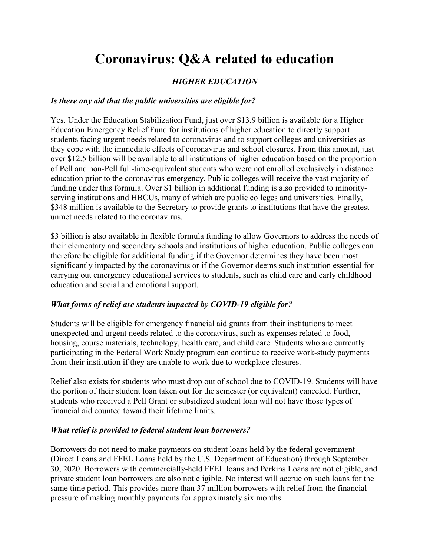# Coronavirus: Q&A related to education

# HIGHER EDUCATION

#### Is there any aid that the public universities are eligible for?

Yes. Under the Education Stabilization Fund, just over \$13.9 billion is available for a Higher Education Emergency Relief Fund for institutions of higher education to directly support students facing urgent needs related to coronavirus and to support colleges and universities as they cope with the immediate effects of coronavirus and school closures. From this amount, just over \$12.5 billion will be available to all institutions of higher education based on the proportion of Pell and non-Pell full-time-equivalent students who were not enrolled exclusively in distance education prior to the coronavirus emergency. Public colleges will receive the vast majority of funding under this formula. Over \$1 billion in additional funding is also provided to minorityserving institutions and HBCUs, many of which are public colleges and universities. Finally, \$348 million is available to the Secretary to provide grants to institutions that have the greatest unmet needs related to the coronavirus.

\$3 billion is also available in flexible formula funding to allow Governors to address the needs of their elementary and secondary schools and institutions of higher education. Public colleges can therefore be eligible for additional funding if the Governor determines they have been most significantly impacted by the coronavirus or if the Governor deems such institution essential for carrying out emergency educational services to students, such as child care and early childhood education and social and emotional support.

#### What forms of relief are students impacted by COVID-19 eligible for?

Students will be eligible for emergency financial aid grants from their institutions to meet unexpected and urgent needs related to the coronavirus, such as expenses related to food, housing, course materials, technology, health care, and child care. Students who are currently participating in the Federal Work Study program can continue to receive work-study payments from their institution if they are unable to work due to workplace closures.

Relief also exists for students who must drop out of school due to COVID-19. Students will have the portion of their student loan taken out for the semester (or equivalent) canceled. Further, students who received a Pell Grant or subsidized student loan will not have those types of financial aid counted toward their lifetime limits.

#### What relief is provided to federal student loan borrowers?

Borrowers do not need to make payments on student loans held by the federal government (Direct Loans and FFEL Loans held by the U.S. Department of Education) through September 30, 2020. Borrowers with commercially-held FFEL loans and Perkins Loans are not eligible, and private student loan borrowers are also not eligible. No interest will accrue on such loans for the same time period. This provides more than 37 million borrowers with relief from the financial pressure of making monthly payments for approximately six months.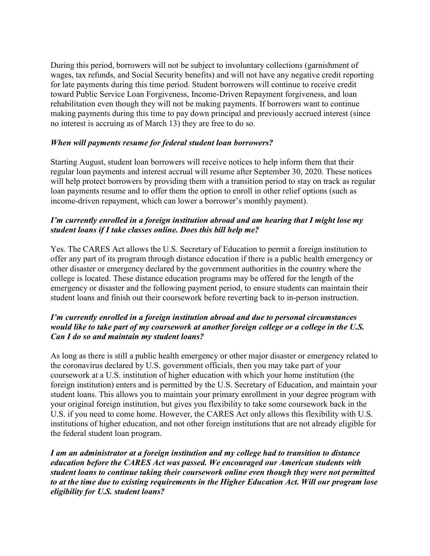During this period, borrowers will not be subject to involuntary collections (garnishment of wages, tax refunds, and Social Security benefits) and will not have any negative credit reporting for late payments during this time period. Student borrowers will continue to receive credit toward Public Service Loan Forgiveness, Income-Driven Repayment forgiveness, and loan rehabilitation even though they will not be making payments. If borrowers want to continue making payments during this time to pay down principal and previously accrued interest (since no interest is accruing as of March 13) they are free to do so.

#### When will payments resume for federal student loan borrowers?

Starting August, student loan borrowers will receive notices to help inform them that their regular loan payments and interest accrual will resume after September 30, 2020. These notices will help protect borrowers by providing them with a transition period to stay on track as regular loan payments resume and to offer them the option to enroll in other relief options (such as income-driven repayment, which can lower a borrower's monthly payment).

#### I'm currently enrolled in a foreign institution abroad and am hearing that I might lose my student loans if I take classes online. Does this bill help me?

Yes. The CARES Act allows the U.S. Secretary of Education to permit a foreign institution to offer any part of its program through distance education if there is a public health emergency or other disaster or emergency declared by the government authorities in the country where the college is located. These distance education programs may be offered for the length of the emergency or disaster and the following payment period, to ensure students can maintain their student loans and finish out their coursework before reverting back to in-person instruction.

#### I'm currently enrolled in a foreign institution abroad and due to personal circumstances would like to take part of my coursework at another foreign college or a college in the U.S. Can I do so and maintain my student loans?

As long as there is still a public health emergency or other major disaster or emergency related to the coronavirus declared by U.S. government officials, then you may take part of your coursework at a U.S. institution of higher education with which your home institution (the foreign institution) enters and is permitted by the U.S. Secretary of Education, and maintain your student loans. This allows you to maintain your primary enrollment in your degree program with your original foreign institution, but gives you flexibility to take some coursework back in the U.S. if you need to come home. However, the CARES Act only allows this flexibility with U.S. institutions of higher education, and not other foreign institutions that are not already eligible for the federal student loan program.

I am an administrator at a foreign institution and my college had to transition to distance education before the CARES Act was passed. We encouraged our American students with student loans to continue taking their coursework online even though they were not permitted to at the time due to existing requirements in the Higher Education Act. Will our program lose eligibility for U.S. student loans?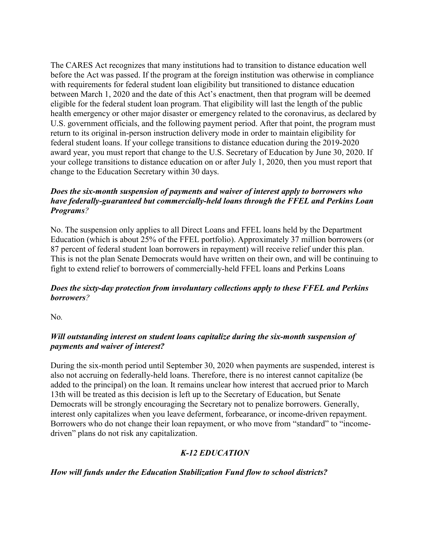The CARES Act recognizes that many institutions had to transition to distance education well before the Act was passed. If the program at the foreign institution was otherwise in compliance with requirements for federal student loan eligibility but transitioned to distance education between March 1, 2020 and the date of this Act's enactment, then that program will be deemed eligible for the federal student loan program. That eligibility will last the length of the public health emergency or other major disaster or emergency related to the coronavirus, as declared by U.S. government officials, and the following payment period. After that point, the program must return to its original in-person instruction delivery mode in order to maintain eligibility for federal student loans. If your college transitions to distance education during the 2019-2020 award year, you must report that change to the U.S. Secretary of Education by June 30, 2020. If your college transitions to distance education on or after July 1, 2020, then you must report that change to the Education Secretary within 30 days.

### Does the six-month suspension of payments and waiver of interest apply to borrowers who have federally-guaranteed but commercially-held loans through the FFEL and Perkins Loan Programs?

No. The suspension only applies to all Direct Loans and FFEL loans held by the Department Education (which is about 25% of the FFEL portfolio). Approximately 37 million borrowers (or 87 percent of federal student loan borrowers in repayment) will receive relief under this plan. This is not the plan Senate Democrats would have written on their own, and will be continuing to fight to extend relief to borrowers of commercially-held FFEL loans and Perkins Loans

#### Does the sixty-day protection from involuntary collections apply to these FFEL and Perkins borrowers?

No.

#### Will outstanding interest on student loans capitalize during the six-month suspension of payments and waiver of interest?

During the six-month period until September 30, 2020 when payments are suspended, interest is also not accruing on federally-held loans. Therefore, there is no interest cannot capitalize (be added to the principal) on the loan. It remains unclear how interest that accrued prior to March 13th will be treated as this decision is left up to the Secretary of Education, but Senate Democrats will be strongly encouraging the Secretary not to penalize borrowers. Generally, interest only capitalizes when you leave deferment, forbearance, or income-driven repayment. Borrowers who do not change their loan repayment, or who move from "standard" to "incomedriven" plans do not risk any capitalization.

# K-12 EDUCATION

How will funds under the Education Stabilization Fund flow to school districts?